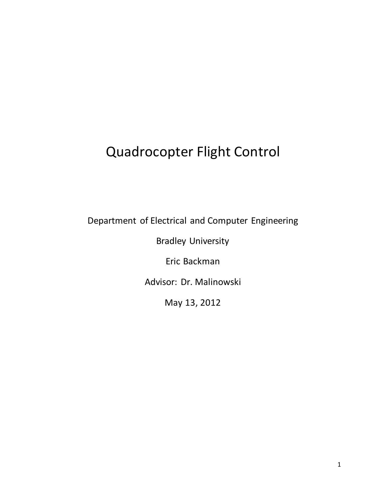## Quadrocopter Flight Control

Department of Electrical and Computer Engineering

Bradley University

Eric Backman

Advisor: Dr. Malinowski

May 13, 2012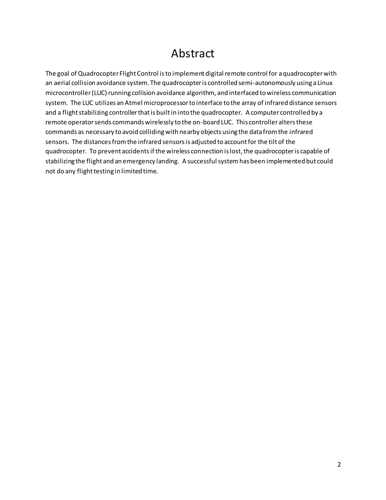### Abstract

The goal of Quadrocopter Flight Control is to implement digital remote control for a quadrocopter with an aerial collision avoidance system. The quadrocopter is controlled semi-autonomously using a Linux microcontroller (LUC) running collision avoidance algorithm, and interfaced to wireless communication system. The LUC utilizes an Atmel microprocessor to interface to the array of infrared distance sensors and a flight stabilizing controller that is built in into the quadrocopter. A computer controlled by a remote operator sends commands wirelessly to the on-board LUC. This controller alters these commands as necessary to avoid colliding with nearby objects using the data from the infrared sensors. The distances from the infrared sensors is adjusted to account for the tilt of the quadrocopter. To prevent accidents if the wireless connection is lost, the quadrocopter is capable of stabilizing the flight and an emergency landing. A successful system has been implemented but could not do any flight testing in limited time.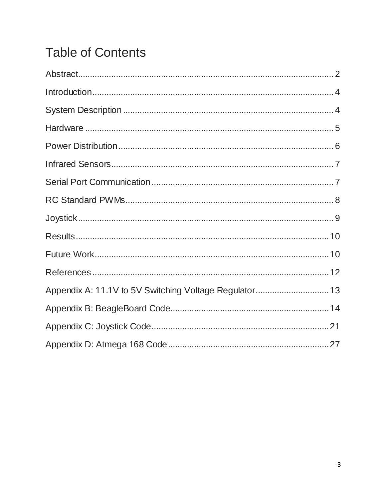# **Table of Contents**

| Appendix A: 11.1V to 5V Switching Voltage Regulator 13 |  |
|--------------------------------------------------------|--|
|                                                        |  |
|                                                        |  |
|                                                        |  |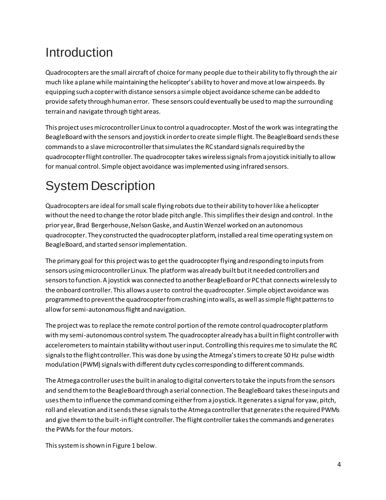### **Introduction**

Quadrocopters are the small aircraft of choice for many people due to their ability to fly through the air much like a plane while maintaining the helicopter's ability to hover and move at low airspeeds. By equipping such a copter with distance sensors a simple object avoidance scheme can be added to provide safety through human error. These sensors could eventually be used to map the surrounding terrain and navigate through tight areas.

This project usesmicrocontroller Linux to control a quadrocopter. Most of the work was integrating the BeagleBoard with the sensors and joystick in order to create simple flight. The BeagleBoard sendsthese commands to a slave microcontroller that simulatesthe RC standard signals required by the quadrocopter flight controller. The quadrocopter takes wireless signals from a joystick initially to allow for manual control. Simple object avoidance wasimplemented using infrared sensors.

# System Description

Quadrocopters are ideal for small scale flying robots due to their ability to hover like a helicopter without the need to change the rotor blade pitch angle. This simplifies their design and control. In the prior year, Brad Bergerhouse, Nelson Gaske, and Austin Wenzel worked on an autonomous quadrocopter. They constructed the quadrocopter platform, installed a real time operating system on BeagleBoard, and started sensor implementation.

The primary goal for this project was to get the quadrocopter flying and responding to inputs from sensors using microcontroller Linux. The platform was already built but it needed controllers and sensors to function. A joystick was connected to another BeagleBoard or PC that connectswirelessly to the onboard controller. This allows a user to control the quadrocopter. Simple object avoidance was programmed to prevent the quadrocopter from crashing into walls, as well as simple flight patterns to allow for semi-autonomous flight and navigation.

The project was to replace the remote control portion of the remote control quadrocopter platform with my semi-autonomous control system. The quadrocopter already has a built in flight controller with accelerometers to maintain stability without user input. Controlling this requires me to simulate the RC signals to the flight controller. This was done by using the Atmega's timers to create 50 Hz pulse width modulation (PWM) signals with different duty cycles corresponding to different commands.

The Atmega controllerusesthe built in analog to digital converters to take the inputs from the sensors and send them to the BeagleBoard through a serial connection. The BeagleBoard takesthese inputs and usesthem to influence the command coming either from a joystick. It generates a signal for yaw, pitch, roll and elevation and it sends these signals to the Atmega controller that generates the required PWMs and give them to the built-in flight controller. The flight controller takesthe commands and generates the PWMs for the four motors.

This system is shown in Figure 1 below.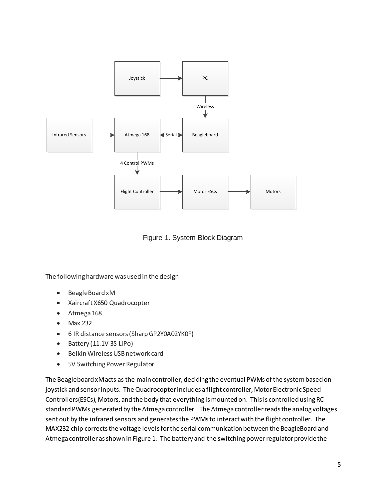

Figure 1. System Block Diagram

The following hardware was used in the design

- BeagleBoard xM
- Xaircraft X650 Quadrocopter
- Atmega 168
- Max 232
- 6 IR distance sensors (Sharp GP2Y0A02YK0F)
- Battery (11.1V 3S LiPo)
- Belkin Wireless USB network card
- 5V Switching Power Regulator

The Beagleboard xM acts as the main controller, deciding the eventual PWMs of the system based on joystick and sensor inputs. The Quadrocopter includes a flight controller, Motor Electronic Speed Controllers(ESCs), Motors, and the body that everything is mounted on. This is controlled using RC standard PWMs generated by the Atmega controller. The Atmega controller reads the analog voltages sent out by the infrared sensors and generates the PWMs to interact with the flight controller. The MAX232 chip corrects the voltage levels for the serial communication between the BeagleBoard and Atmega controller as shown in Figure 1. The battery and the switching power regulator provide the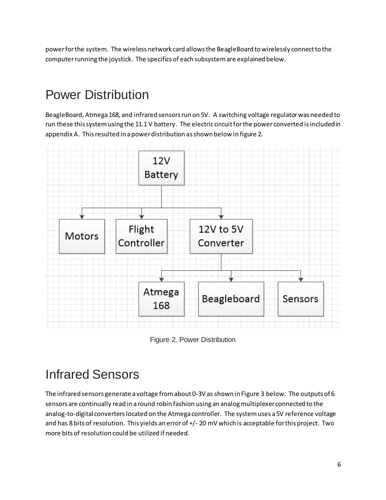power for the system. The wireless network card allows the BeagleBoard to wirelessly connect to the computer running the joystick. The specifics of each subsystem are explained below.

## Power Distribution

BeagleBoard, Atmega 168, and infrared sensors run on 5V. A switching voltage regulatorwas needed to run these this system using the 11.1 V battery. The electric circuit for the power converted isincludedin appendix A. This resulted in a power distribution as shown below in figure 2.



Figure 2. Power Distribution

## Infrared Sensors

The infrared sensors generate a voltage from about 0-3V as shown in Figure 3 below. The outputs of 6 sensors are continually read in a round robin fashion using an analog multiplexer connected to the analog-to-digital converterslocated on the Atmega controller. The system uses a 5V reference voltage and has 8 bits of resolution. This yields an error of +/- 20 mV which is acceptable for this project. Two more bits of resolution could be utilized if needed.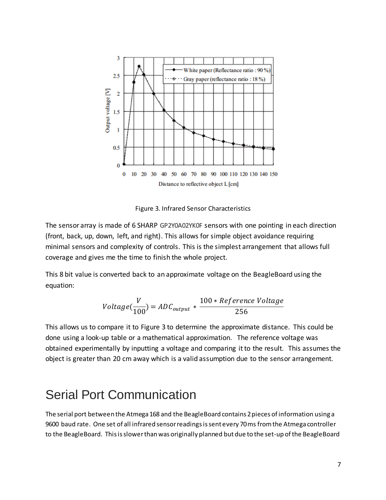

Figure 3. Infrared Sensor Characteristics

The sensor array is made of 6 SHARP GP2Y0A02YK0F sensors with one pointing in each direction (front, back, up, down, left, and right). This allows for simple object avoidance requiring minimal sensors and complexity of controls. This is the simplest arrangement that allows full coverage and gives me the time to finish the whole project.

This 8 bit value is converted back to an approximate voltage on the BeagleBoard using the equation:

$$
Voltage(\frac{V}{100}) = ADC_{output} * \frac{100 * Reference \; Voltage}{256}
$$

This allows us to compare it to Figure 3 to determine the approximate distance. This could be done using a look-up table or a mathematical approximation. The reference voltage was obtained experimentally by inputting a voltage and comparing it to the result. This assumes the object is greater than 20 cm away which is a valid assumption due to the sensor arrangement.

### Serial Port Communication

The serial port between the Atmega 168 and the BeagleBoard contains 2 pieces of information using a 9600 baud rate. One set of all infrared sensor readingsis sent every 70 ms from the Atmega controller to the BeagleBoard. This is slower than was originally planned but due to the set-up of the BeagleBoard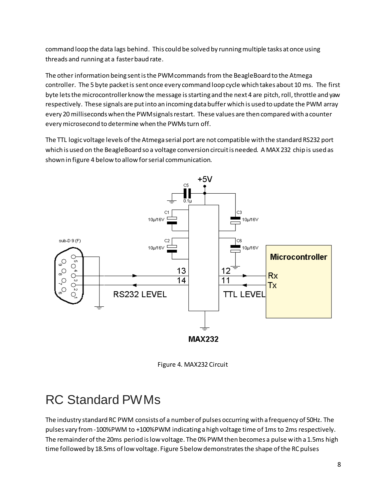command loop the data lags behind. This could be solved by running multiple tasks at once using threads and running at a faster baud rate.

The other information being sent is the PWM commands from the BeagleBoard to the Atmega controller. The 5 byte packet is sent once every command loop cycle which takes about 10 ms. The first byte lets the microcontroller know the message is starting and the next 4 are pitch, roll, throttle and yaw respectively. These signals are put into an incoming data buffer which is used to update the PWM array every 20 milliseconds when the PWM signals restart. These values are then compared with a counter every microsecond to determine when the PWMs turn off.

The TTL logic voltage levels of the Atmega serial port are not compatible with the standard RS232 port which is used on the BeagleBoard so a voltage conversion circuit is needed. A MAX 232 chip is used as shown in figure 4 below to allow for serial communication.



Figure 4. MAX232 Circuit

### RC Standard PWMs

The industry standard RC PWM consists of a number of pulses occurring with a frequency of 50Hz. The pulses vary from -100%PWM to +100%PWM indicating a high voltage time of 1ms to 2ms respectively. The remainder of the 20ms period is low voltage. The 0% PWM then becomes a pulse with a 1.5ms high time followed by 18.5ms of low voltage. Figure 5below demonstrates the shape of the RC pulses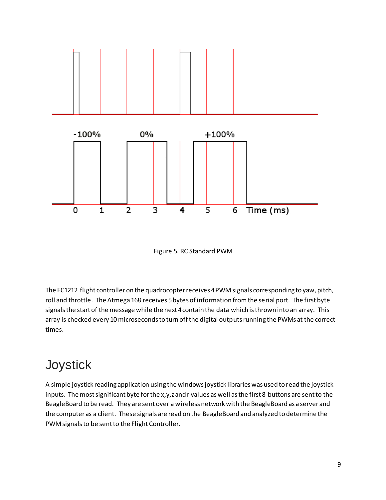

Figure 5. RC Standard PWM

The FC1212 flight controller on the quadrocopter receives 4 PWM signals corresponding to yaw, pitch, roll and throttle. The Atmega 168 receives 5bytes of information from the serial port. The first byte signals the start of the message while the next 4 contain the data which is thrown into an array. This array is checked every 10 microseconds to turn off the digital outputs running the PWMs at the correct times.

### **Joystick**

A simple joystick reading application using the windows joystick libraries was used to read the joystick inputs. The most significant byte for the x,y,z and r values as well as the first 8 buttons are sent to the BeagleBoard to be read. They are sent over a wireless network with the BeagleBoard as a server and the computer as a client. These signals are read on the BeagleBoard and analyzed to determine the PWM signals to be sent to the Flight Controller.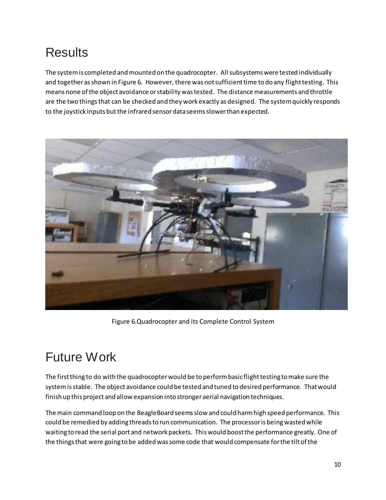## **Results**

The system is completed and mounted on the quadrocopter. All subsystems were tested individually and together as shown in Figure 6. However, there was not sufficient time to do any flight testing. This means none of the object avoidance or stability was tested. The distance measurements and throttle are the two things that can be checked and they work exactly as designed. The system quickly responds to the joystick inputs but the infrared sensor data seems slower than expected.



Figure 6.Quadrocopter and its Complete Control System

## Future Work

The first thing to do with the quadrocopter would be to perform basic flight testing to make sure the system is stable. The object avoidance could be tested and tuned to desired performance. That would finish up this project and allow expansion into stronger aerial navigation techniques.

The main command loop on the BeagleBoard seems slow and could harm high speed performance. This could be remedied by adding threads to run communication. The processor is being wasted while waiting to read the serial port and network packets. This would boost the performance greatly. One of the things that were going to be added was some code that would compensate for the tilt of the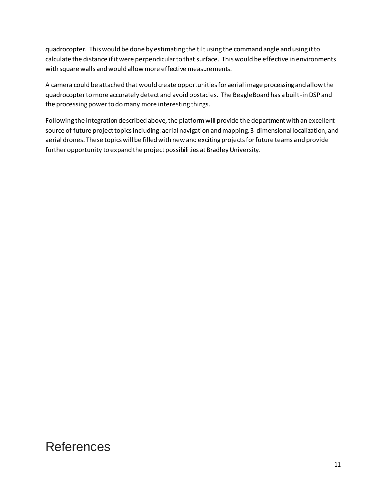quadrocopter. This would be done by estimating the tilt using the command angle and using it to calculate the distance if it were perpendicular to that surface. This would be effective in environments with square walls and would allow more effective measurements.

A camera could be attached that would create opportunities for aerial image processing and allow the quadrocopter to more accurately detect and avoid obstacles. The BeagleBoard has a built-in DSP and the processing power to do many more interesting things.

Following the integration described above, the platform will provide the department with an excellent source of future project topics including: aerial navigation and mapping, 3-dimensional localization, and aerial drones. These topics will be filled with new and exciting projects for future teams and provide further opportunity to expand the project possibilities at Bradley University.

### References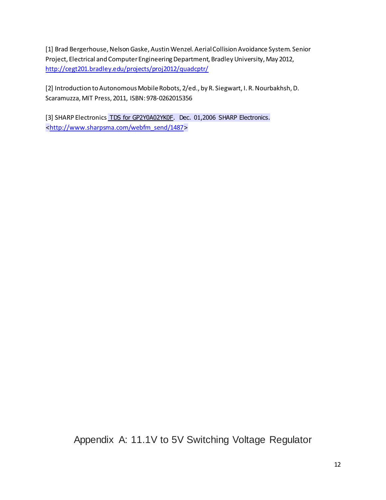[1] Brad Bergerhouse, Nelson Gaske, Austin Wenzel. Aerial Collision Avoidance System. Senior Project, Electrical and Computer Engineering Department, Bradley University, May 2012, <http://cegt201.bradley.edu/projects/proj2012/quadcptr/>

[2] Introduction to Autonomous Mobile Robots, 2/ed., by R. Siegwart, I. R. Nourbakhsh, D. Scaramuzza, MIT Press, 2011, ISBN: 978-0262015356

[3] SHARP Electronics TDS for GP2Y0A02YK0F. Dec. 01,2006 SHARP Electronics. <[http://www.sharpsma.com/webfm\\_send/1487](http://www.sharpsma.com/webfm_send/1487)>

Appendix A: 11.1V to 5V Switching Voltage Regulator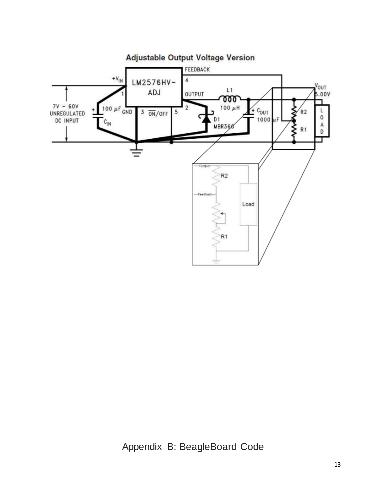

Appendix B: BeagleBoard Code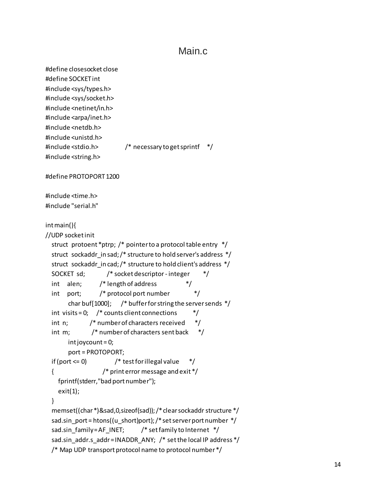#### Main.c

```
#define closesocket close
#define SOCKET int
#include <sys/types.h>
#include <sys/socket.h>
#include <netinet/in.h>
#include <arpa/inet.h>
#include <netdb.h>
#include <unistd.h>
#include <stdio.h> /* necessary to get sprintf */
#include <string.h>
#define PROTOPORT 1200
#include <time.h>
#include "serial.h"
int main(){
//UDP socket init
   struct protoent *ptrp; /* pointer to a protocol table entry */
  struct sockaddr in sad; /* structure to hold server's address */
  struct sockaddr in cad; /* structure to hold client's address */
   SOCKET sd; /* socket descriptor - integer */
  int alen; /* length of address */
   int port; /* protocol port number */
       char buf[1000]; /* buffer for string the server sends */
  int visits = 0; \frac{4}{3} counts client connections \frac{4}{3}int n; /* number of characters received */
   int m; /* number of characters sent back */
       int joycount = 0;
       port = PROTOPORT;
  if (port \leq 0) /* test for illegal value \frac{*}{ } { /* print error message and exit */
     fprintf(stderr,"bad port number");
    exit(1); }
   memset((char *)&sad,0,sizeof(sad)); /* clear sockaddr structure */
  sad.sin_port = htons((u_short)port); /* set server port number */
   sad.sin_family = AF_INET; /* set family to Internet */
   sad.sin_addr.s_addr = INADDR_ANY; /* set the local IP address */
   /* Map UDP transport protocol name to protocol number */
```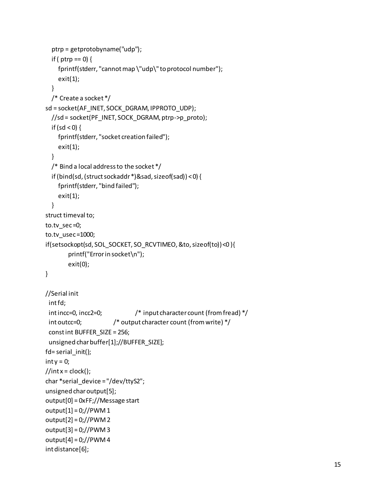```
 ptrp = getprotobyname("udp");
  if ( ptrp == 0) {
     fprintf(stderr, "cannot map \"udp\" to protocol number");
     exit(1);
   }
   /* Create a socket */
sd = socket(AF_INET, SOCK_DGRAM, IPPROTO_UDP);
   //sd = socket(PF_INET, SOCK_DGRAM, ptrp->p_proto);
  if (sd < 0) {
     fprintf(stderr, "socket creation failed");
     exit(1);
   }
   /* Bind a local address to the socket */
   if (bind(sd, (struct sockaddr *)&sad, sizeof(sad)) < 0) {
     fprintf(stderr, "bind failed");
     exit(1);
   }
struct timeval to;
to.tv_sec =0;
to.tv usec =1000;
if(setsockopt(sd, SOL_SOCKET, SO_RCVTIMEO, &to, sizeof(to)) <0 ){
        printf("Error in socket\n");
        exit(0);
}
//Serial init
  int fd;
  int incc=0, incc2=0; /* input character count (from fread) */
  int outcc=0; /* output character count (from write) */
  const int BUFFER_SIZE = 256;
  unsigned char buffer[1];//BUFFER_SIZE];
fd= serial_init();
int y = 0;//int x = clock();char *serial_device = "/dev/ttyS2";
unsigned char output[5];
output[0] = 0xFF;//Message start
output[1] = 0;//PWM 1
output[2] = 0;//PWM 2
output[3] = 0;//PWM 3
output[4] = 0;//PWM 4
int distance[6];
```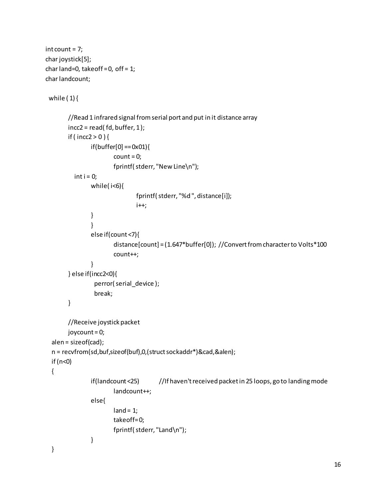```
int count = 7;char joystick[5];
char land=0, takeoff = 0, off = 1;
char landcount;
while (1) {
       //Read 1 infrared signal from serial port and put in it distance array
        incc2 = read ( fd, buffer, 1);if ( incc2 > 0 ) {
                if(buffer[0] == 0x01){
                        count = 0;fprintf( stderr, "New Line\n");
          int i = 0;while(i < 6){
                                fprintf( stderr, "%d ", distance[i]);
                                 i++;
                }
                }
                else if(count <7){
                        distance[count] = (1.647*buffer[0]); //Convert from character to Volts*100
                        count++;
                }
         } else if(incc2<0){
                  perror( serial_device );
                  break;
        }
        //Receive joystick packet
       joycount = 0; alen = sizeof(cad);
   n = recvfrom(sd,buf,sizeof(buf),0,(struct sockaddr*)&cad,&alen);
   if (n<0)
   {
                if(landcount <25) //If haven't received packet in 25 loops, go to landing mode
                        landcount++;
                else{
                        land = 1;takeoff=0;
                        fprintf( stderr, "Land\n");
                }
   }
```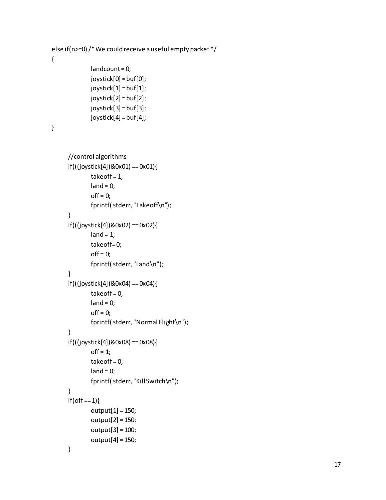```
 else if(n>=0) /* We could receive a useful empty packet */
 {
              landcount = 0;
              joystick[0] = buf[0];joystick[1] = buf[1];
              joystick[2] = buf[2];
              joystick[3] = buf[3];
              joystick[4] = buf[4];
 }
      //control algorithms
      if(((joystick[4])&0x01) == 0x01){
              takeoff = 1;
              land = 0;of f = 0;fprintf( stderr, "Takeoff\n");
      }
      if(((joystick[4])&0x02) == 0x02){
              land = 1;takeoff=0;
              of f = 0;fprintf( stderr, "Land\n");
      }
      if(((joystick[4])&0x04) == 0x04){
              take of f = 0;
              land = 0;of f = 0;fprintf( stderr, "Normal Flight\n");
      }
      if(((joystick[4])&0x08) == 0x08){
              off = 1;take of f = 0;
              land = 0;
```
fprintf( stderr, "Kill Switch\n");

output[1] = 150; output[2] = 150; output[3] = 100; output[4] = 150;

}

}

 $if($ off == 1) $\{$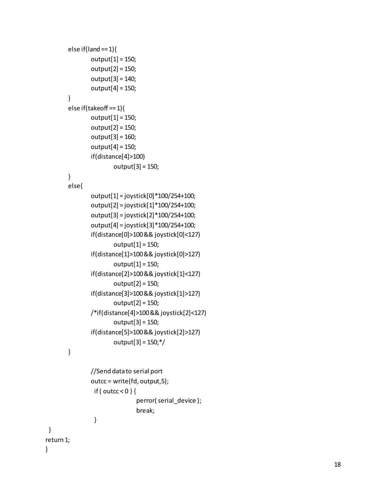```
else if(land == 1){
       output[1] = 150;
       output[2] = 150;
       output[3] = 140;
        output[4] = 150;
}
else if(takeoff == 1){
       output[1] = 150;
       output[2] = 150;
       output[3] = 160;
       output[4] = 150;
       if(distance[4]>100)
                output[3] = 150;
}
else{
       output[1] = joystick[0]*100/254+100;
       output[2] = joystick[1]*100/254+100;
       output[3] = joystick[2]*100/254+100;
        output[4] = joystick[3]*100/254+100;
        if(distance[0]>100 && joystick[0]<127)
                output[1] = 150;
        if(distance[1]>100 && joystick[0]>127)
                output[1] = 150;
        if(distance[2]>100 && joystick[1]<127)
               output[2] = 150;
       if(distance[3]>100 && joystick[1]>127)
                output[2] = 150;
       /*if(distance[4]>100 && joystick[2]<127)
                output[3] = 150;
       if(distance[5]>100 && joystick[2]>127)
                output[3] = 150;*/
}
```

```
//Send data to serial port
                outcc = write(fd, output,5);
                  if ( outcc < 0 ) {
                                 perror( serial_device );
                                 break;
                 }
return 1;
```
}

}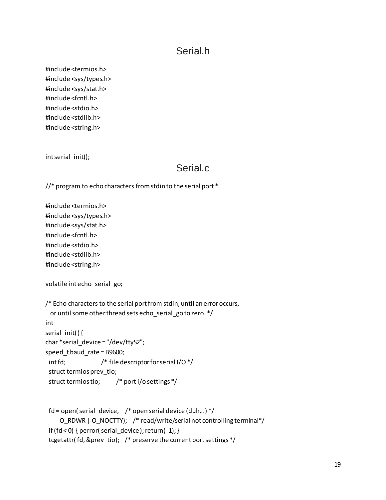#### Serial.h

#include <termios.h> #include <sys/types.h> #include <sys/stat.h> #include <fcntl.h> #include <stdio.h> #include <stdlib.h> #include <string.h>

int serial init();

#### Serial<sub>c</sub>

 $1/$ \* program to echo characters from stdin to the serial port \*

#include <termios.h> #include <sys/types.h> #include <sys/stat.h> #include <fcntl.h> #include <stdio.h> #include <stdlib.h> #include <string.h>

volatile int echo\_serial\_go;

```
/* Echo characters to the serial port from stdin, until an error occurs,
  or until some other thread sets echo_serial_go to zero. */
int
serial_init( ) {
char *serial_device = "/dev/ttyS2";
speed_t baud_rate = B9600; 
 int fd; /* file descriptor for serial I/O */
  struct termios prev_tio;
  struct termios tio; /* port i/o settings */
```

```
fd = open( serial_device, \frac{1}{2} open serial device (duh...) \frac{1}{2} O_RDWR | O_NOCTTY); /* read/write/serial not controlling terminal*/
if (fd < 0) { perror( serial_device); return(-1); }
 tcgetattr( fd, &prev_tio); /* preserve the current port settings */
```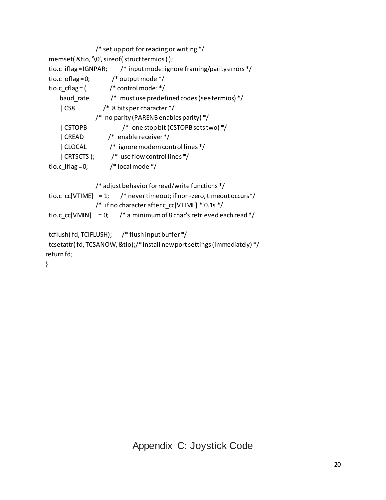```
 /* set up port for reading or writing */
  memset( &tio, '\0', sizeof( struct termios ) );
  tio.c_iflag = IGNPAR; /* input mode: ignore framing/parity errors */
 tio.c_oflag = 0; \frac{\pi}{6} /* output mode */
 tio.c_cflag = \frac{\text{#}}{\text{#}} /* control mode: */
     baud_rate /* must use predefined codes (see termios) */
     | CS8 /* 8 bits per character */
                  /* no parity (PARENB enables parity) */
     | CSTOPB /* one stop bit (CSTOPB sets two) */
     | CREAD /* enable receiver */
     | CLOCAL /* ignore modem control lines */
     | CRTSCTS ); /* use flow control lines */
 tio.c Iflag = 0; /* local mode */
                 /* adjust behavior for read/write functions */
 tio.c_cc[VTIME] = 1; /* never timeout; if non-zero, timeout occurs*/
                /* if no character after c cc[VTIME] * 0.1s */tio.c cc[VMIN] = 0; /* a minimum of 8 char's retrieved each read */ tcflush( fd, TCIFLUSH); /* flush input buffer */
  tcsetattr( fd, TCSANOW, &tio);/* install new port settings (immediately) */
return fd;
}
```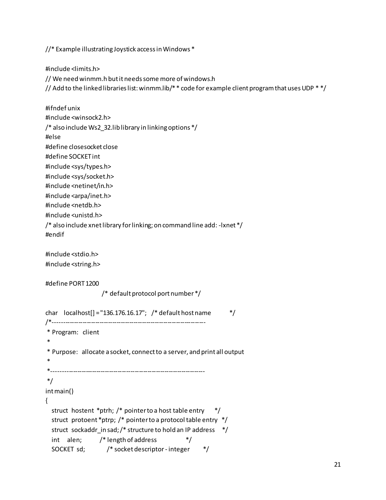//\* Example illustrating Joystick access in Windows \*

#include <limits.h>

// We need winmm.h but it needs some more of windows.h

// Add to the linked libraries list: winmm.lib/ $*$  code for example client program that uses UDP  $**/$ 

#ifndef unix #include <winsock2.h> /\* also include Ws2\_32.lib library in linking options \*/ #else #define closesocket close #define SOCKET int #include <sys/types.h> #include <sys/socket.h> #include <netinet/in.h> #include <arpa/inet.h> #include <netdb.h> #include <unistd.h> /\* also include xnet library for linking; on command line add: -lxnet \*/ #endif #include <stdio.h> #include <string.h> #define PORT 1200 /\* default protocol port number \*/ char  $localhost[] = "136.176.16.17";$  /\* default host name  $*$ / /\*------------------------------------------------------------------------ \* Program: client \* \* Purpose: allocate a socket, connect to a server, and print all output \* \*------------------------------------------------------------------------ \*/ int main() { struct hostent \*ptrh; /\* pointer to a host table entry \*/

```
 struct protoent *ptrp; /* pointer to a protocol table entry */
struct sockaddr_in sad; /* structure to hold an IP address */
int alen; /* length of address */
 SOCKET sd; /* socket descriptor - integer */
```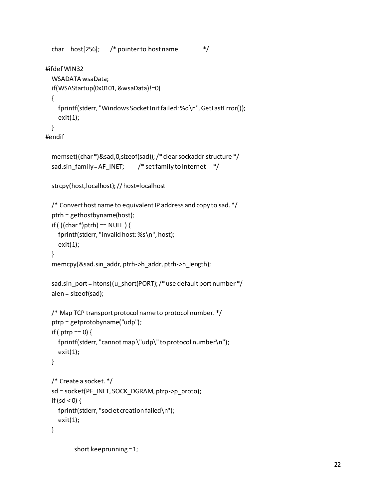```
char host[256]; /* pointer to host name \frac{*}{ }
```

```
#ifdef WIN32
```

```
 WSADATA wsaData;
 if(WSAStartup(0x0101, &wsaData)!=0)
 {
   fprintf(stderr, "Windows Socket Init failed: %d\n", GetLastError());
   exit(1);
 }
```

```
#endif
```

```
 memset((char *)&sad,0,sizeof(sad));/* clear sockaddr structure */
sad.sin_family = AF_INET; /* set family to Internet */
```

```
 strcpy(host,localhost); // host=localhost
```

```
 /* Convert host name to equivalent IP address and copy to sad. */
 ptrh = gethostbyname(host);
if ( ((char *)ptrh) == NULL ) {
   fprintf(stderr, "invalid host: %s\n", host);
   exit(1);
 }
 memcpy(&sad.sin_addr, ptrh->h_addr, ptrh->h_length);
 sad.sin_port = htons((u_short)PORT); /* use default port number */
 alen = sizeof(sad);
```

```
 /* Map TCP transport protocol name to protocol number. */
 ptrp = getprotobyname("udp");
if ( ptrp == 0 {
   fprintf(stderr, "cannot map \"udp\" to protocol number\n");
   exit(1);
 }
```

```
 /* Create a socket. */
 sd = socket(PF_INET, SOCK_DGRAM, ptrp->p_proto);
if (sd < 0) {
   fprintf(stderr, "soclet creation failed\n");
   exit(1);
 }
```

```
 short keeprunning = 1;
```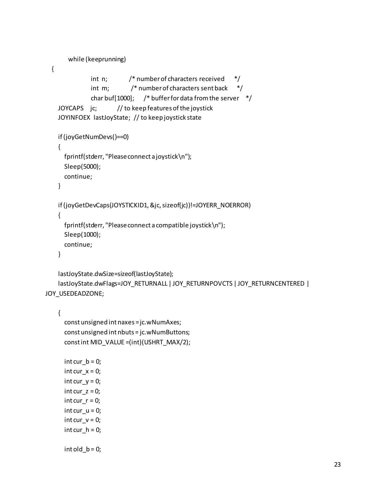```
while (keeprunning)
   {
               int n; /* number of characters received */
               int m; /* number of characters sent back */
               char buf[1000]; /* buffer for data from the server */ JOYCAPS jc; // to keep features of the joystick
     JOYINFOEX lastJoyState; // to keep joystick state
     if (joyGetNumDevs()==0)
     {
       fprintf(stderr, "Please connect a joystick\n");
       Sleep(5000);
       continue;
     }
     if (joyGetDevCaps(JOYSTICKID1, &jc, sizeof(jc))!=JOYERR_NOERROR)
     {
       fprintf(stderr, "Please connect a compatible joystick\n");
       Sleep(1000);
       continue;
     }
     lastJoyState.dwSize=sizeof(lastJoyState);
     lastJoyState.dwFlags=JOY_RETURNALL | JOY_RETURNPOVCTS | JOY_RETURNCENTERED | 
JOY_USEDEADZONE;
```

```
 const unsigned int naxes = jc.wNumAxes;
 const unsigned int nbuts = jc.wNumButtons;
 const int MID_VALUE =(int)(USHRT_MAX/2);
```
 $int cur_b = 0;$  $int cur_x = 0;$ int cur\_y =  $0$ ; int cur\_z =  $0$ ; int cur $r = 0$ ; int cur  $u = 0$ ; int cur\_v =  $0$ ;  $int cur_h = 0;$ 

int old  $b = 0$ ;

{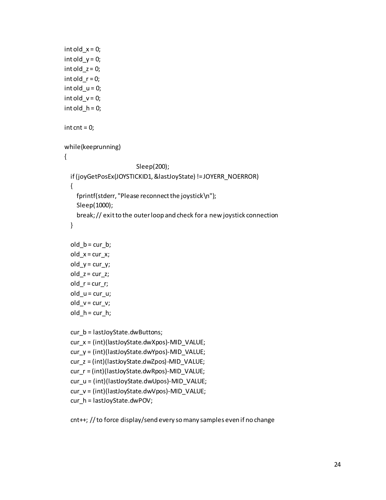```
int old x = 0;
int old_y = 0;int old_z = 0;int old_r = 0;
int old_u = 0;int old_v = 0;
int old h = 0;
int cnt = 0;
 while(keeprunning)
 {
                         Sleep(200);
   if (joyGetPosEx(JOYSTICKID1, &lastJoyState) != JOYERR_NOERROR)
   {
     fprintf(stderr, "Please reconnect the joystick\n");
     Sleep(1000);
     break; // exit to the outer loop and check for a new joystick connection
   }
  old b = cur b;
  old_x = cur_x;old_y = cur_y;old_z = cur_z;old_r = cur_r;old_u = cur_u;old_v = cur_v;old_h = cur_h; cur_b = lastJoyState.dwButtons;
   cur_x = (int)(lastJoyState.dwXpos)-MID_VALUE;
   cur_y = (int)(lastJoyState.dwYpos)-MID_VALUE;
   cur_z = (int)(lastJoyState.dwZpos)-MID_VALUE;
   cur_r = (int)(lastJoyState.dwRpos)-MID_VALUE;
   cur_u = (int)(lastJoyState.dwUpos)-MID_VALUE;
   cur_v = (int)(lastJoyState.dwVpos)-MID_VALUE;
   cur_h = lastJoyState.dwPOV;
```
cnt++; // to force display/send every so many samples even if no change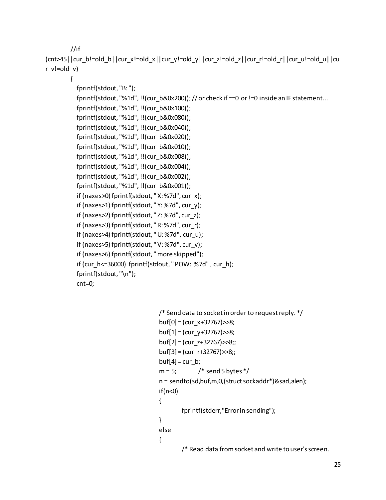//if

(cnt>45||cur\_b!=old\_b||cur\_x!=old\_x||cur\_y!=old\_y||cur\_z!=old\_z||cur\_r!=old\_r||cur\_u!=old\_u||cu r\_v!=old\_v)

{

```
 fprintf(stdout, "B: ");
```
fprintf(stdout, "%1d", !!(cur\_b&0x200)); // or check if ==0 or !=0 inside an IF statement...

```
 fprintf(stdout, "%1d", !!(cur_b&0x100));
```
fprintf(stdout, "%1d", !!(cur\_b&0x080));

fprintf(stdout, "%1d", !!(cur\_b&0x040));

 fprintf(stdout, "%1d", !!(cur\_b&0x020)); fprintf(stdout, "%1d", !!(cur\_b&0x010));

fprintf(stdout, "%1d", !!(cur\_b&0x008));

fprintf(stdout, "%1d", !!(cur\_b&0x004));

fprintf(stdout, "%1d", !!(cur\_b&0x002));

fprintf(stdout, "%1d", !!(cur\_b&0x001));

if (naxes>0) fprintf(stdout, " X: %7d", cur\_x);

if (naxes>1) fprintf(stdout, " Y: %7d", cur\_y);

 if (naxes>2) fprintf(stdout, " Z: %7d", cur\_z); if (naxes>3) fprintf(stdout, " R: %7d", cur\_r);

if (naxes>4) fprintf(stdout, " U: %7d", cur\_u);

if (naxes>5) fprintf(stdout, " V: %7d", cur\_v);

if (naxes>6) fprintf(stdout, " more skipped");

```
if (cur_h<=36000) fprintf(stdout, " POW: %7d", cur_h);
```

```
 fprintf(stdout, "\n");
```
cnt=0;

```
/* Send data to socket in order to request reply. */
buf[0] = (cur_x+32767)>>8;
buf[1] = (cur_y+32767)>>8;
buf[2] = (cur_z+32767)>>8;;
buf[3] = (cur_r+32767)>>8;;
buf[4] = cur b;
m = 5; \frac{1}{2} send 5 bytes \frac{k}{2}n = sendto(sd,buf,m,0,(struct sockaddr*)&sad,alen);
if(n<0){
        fprintf(stderr,"Error in sending");
}
else
{
        /* Read data from socket and write to user's screen.
```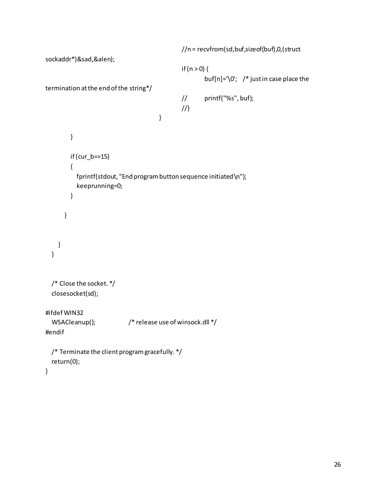```
//n = recvfrom(sd,buf,sizeof(buf),0,(struct 
sockaddr*)&sad,&alen);
                                               if (n > 0) {
                                                       buf[n]='\0'; \prime* just in case place the
termination at the end of the string*/
                                               // printf("%s", buf);
                                               //}
                                       }
         }
         if (cur_b==15)
         {
           fprintf(stdout, "End program button sequence initiated\n");
           keeprunning=0;
         }
       }
     }
   }
  /* Close the socket. */
   closesocket(sd);
#ifdef WIN32
   WSACleanup(); /* release use of winsock.dll */
#endif
  /* Terminate the client program gracefully. */
   return(0);
}
```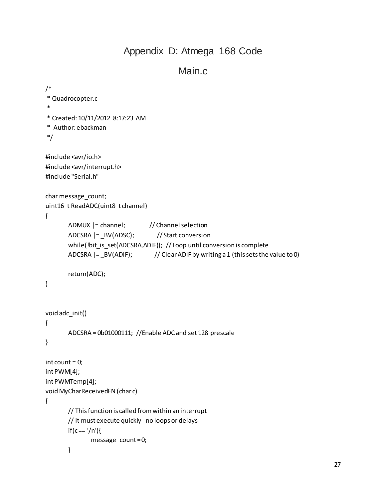#### Appendix D: Atmega 168 Code

#### Main.c

```
/*
* Quadrocopter.c
*
* Created: 10/11/2012 8:17:23 AM
* Author: ebackman
*/ 
#include <avr/io.h>
#include <avr/interrupt.h>
#include "Serial.h"
char message_count;
uint16 t ReadADC(uint8 t channel)
{
       ADMUX |= channel; // Channel selection
       ADCSRA |= BV(ADSC); // Start conversion
       while(!bit_is_set(ADCSRA,ADIF)); // Loop until conversion is complete
       ADCSRA |=\text{BV}(\text{ADIF}); // Clear ADIF by writing a 1 (this sets the value to 0)
       return(ADC);
}
void adc_init()
{
       ADCSRA = 0b01000111; //Enable ADC and set 128 prescale
}
int count = 0;int PWM[4];
int PWMTemp[4];
void MyCharReceivedFN (char c)
{
       // This function is called from within an interrupt
       // It must execute quickly - no loops or delays
       if(c == '/n')message_count = 0;
       }
```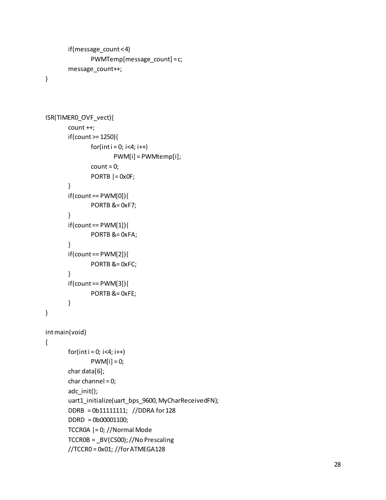```
if(message_count < 4)
       PWMTemp[message_count] = c;
message_count++;
```
}

```
ISR(TIMER0_OVF_vect){
       count ++;
       if(count >= 1250){
               for(int i = 0; i < 4; i++)PWM[i] = PWMtemp[i];
               count = 0;PORTB = 0x0F;}
       if(count == PWM[0]){
               PORTB &= 0xF7;
       }
       if(count == PWM[1]){
               PORTB &= 0xFA;
       }
       if(count == PWM[2]){
               PORTB &= 0xFC;
       }
       if(count == PWM[3]){
               PORTB &= 0xFE;
       }
}
int main(void)
{
       for(int i = 0; i < 4; i++)PWM[i] = 0;char data[6];
       char channel = 0;
       adc_init();
       uart1_initialize(uart_bps_9600, MyCharReceivedFN);
       DDRB = 0b11111111; //DDRA for 128
       DDRD = 0b00001100; 
       TCCR0A |= 0; //Normal Mode
       TCCR0B = _BV(CS00); //No Prescaling
```
//TCCR0 = 0x01; //for ATMEGA128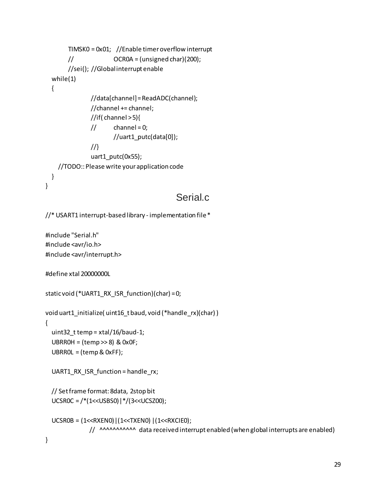```
TIMSK0 = 0x01; //Enable timer overflow interrupt
       \frac{1}{200} OCROA = (unsigned char)(200);
       //sei(); //Global interrupt enable
   while(1)
   {
               //data[channel] = ReadADC(channel);
               //channel += channel;
               //if( channel > 5){
               // channel = 0;
                       //uart1_putc(data[0]);
               //}
               uart1_putc(0x55); 
     //TODO:: Please write your application code 
  }
}
```
#### Serial.c

```
//* USART1 interrupt-based library - implementation file *
```
#include "Serial.h" #include <avr/io.h> #include <avr/interrupt.h>

```
#define xtal 20000000L
```

```
static void (*UART1_RX_ISR_function)(char) = 0;
```

```
void uart1_initialize( uint16_t baud, void (*handle_rx)(char) )
{
   uint32_t temp = xtal/16/baud-1;
   UBRR0H = (temp >> 8) & 0x0F;
  UBRROL = temp & OxFF;
```

```
UART1_RX_ISR_function = handle_rx;
```

```
 // Set frame format: 8data, 2stop bit
 UCSR0C = /*(1<<USBS0)|*/(3<<UCSZ00);
```

```
 UCSR0B = (1<<RXEN0)|(1<<TXEN0) |(1<<RXCIE0);
            // ^^^^^^^^^^^^ data received interrupt enabled (when global interrupts are enabled)
```

```
}
```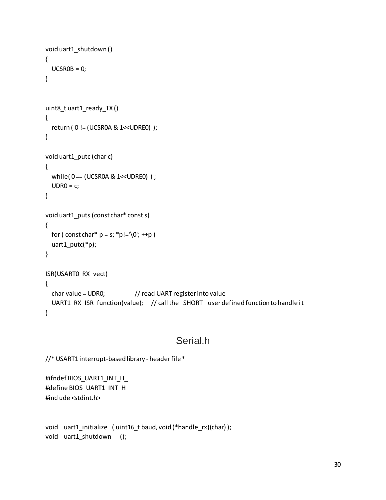```
void uart1_shutdown ()
{
  UCSROB = 0;}
uint8_t uart1_ready_TX ()
{
   return ( 0 != (UCSR0A & 1<<UDRE0) );
}
void uart1 putc (char c)
{
  while(0 ==(UCSROA & 1<<UDRE0));
  UDRO = c;}
void uart1_puts (const char* const s)
{
  for ( const char* p = s; *p!='\0'; ++p )
   uart1_putc(*p);
}
ISR(USART0_RX_vect)
{
  char value = UDR0; // read UART register into value
   UART1_RX_ISR_function(value); // call the _SHORT_ user defined function to handle it 
}
```
#### Serial.h

```
//* USART1 interrupt-based library - header file *
```

```
#ifndef BIOS_UART1_INT_H_
#define BIOS_UART1_INT_H_
#include <stdint.h>
```
void uart1\_initialize ( uint16\_t baud, void (\*handle\_rx)(char) ); void uart1\_shutdown ();